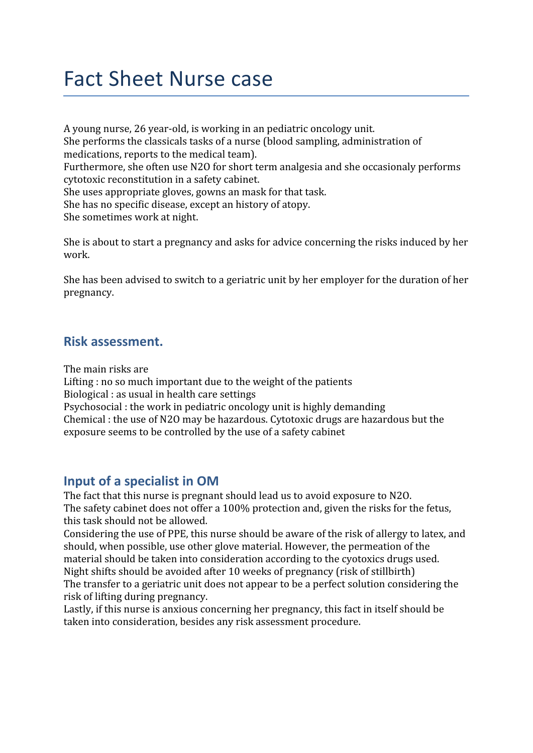## Fact Sheet Nurse case

A young nurse, 26 year-old, is working in an pediatric oncology unit. She performs the classicals tasks of a nurse (blood sampling, administration of medications, reports to the medical team). Furthermore, she often use N2O for short term analgesia and she occasionaly performs cytotoxic reconstitution in a safety cabinet. She uses appropriate gloves, gowns an mask for that task. She has no specific disease, except an history of atopy. She sometimes work at night.

She is about to start a pregnancy and asks for advice concerning the risks induced by her work.

She has been advised to switch to a geriatric unit by her employer for the duration of her pregnancy.

## **Risk assessment.**

The main risks are

Lifting : no so much important due to the weight of the patients Biological : as usual in health care settings Psychosocial : the work in pediatric oncology unit is highly demanding Chemical : the use of N2O may be hazardous. Cytotoxic drugs are hazardous but the exposure seems to be controlled by the use of a safety cabinet

## **Input of a specialist in OM**

The fact that this nurse is pregnant should lead us to avoid exposure to N2O. The safety cabinet does not offer a 100% protection and, given the risks for the fetus, this task should not be allowed.

Considering the use of PPE, this nurse should be aware of the risk of allergy to latex, and should, when possible, use other glove material. However, the permeation of the material should be taken into consideration according to the cyotoxics drugs used. Night shifts should be avoided after 10 weeks of pregnancy (risk of stillbirth) The transfer to a geriatric unit does not appear to be a perfect solution considering the risk of lifting during pregnancy.

Lastly, if this nurse is anxious concerning her pregnancy, this fact in itself should be taken into consideration, besides any risk assessment procedure.